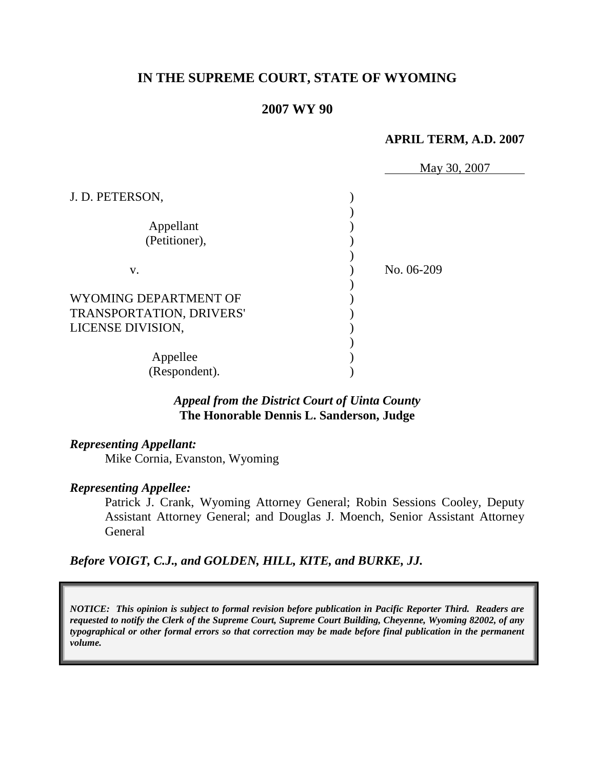# **IN THE SUPREME COURT, STATE OF WYOMING**

### **2007 WY 90**

#### **APRIL TERM, A.D. 2007**

|                          | May 30, 2007 |
|--------------------------|--------------|
| J. D. PETERSON,          |              |
|                          |              |
| Appellant                |              |
| (Petitioner),            |              |
|                          |              |
| V.                       | No. 06-209   |
|                          |              |
| WYOMING DEPARTMENT OF    |              |
| TRANSPORTATION, DRIVERS' |              |
| LICENSE DIVISION,        |              |
|                          |              |
| Appellee                 |              |
| (Respondent).            |              |

# *Appeal from the District Court of Uinta County* **The Honorable Dennis L. Sanderson, Judge**

#### *Representing Appellant:*

Mike Cornia, Evanston, Wyoming

#### *Representing Appellee:*

Patrick J. Crank, Wyoming Attorney General; Robin Sessions Cooley, Deputy Assistant Attorney General; and Douglas J. Moench, Senior Assistant Attorney General

### *Before VOIGT, C.J., and GOLDEN, HILL, KITE, and BURKE, JJ.*

*NOTICE: This opinion is subject to formal revision before publication in Pacific Reporter Third. Readers are requested to notify the Clerk of the Supreme Court, Supreme Court Building, Cheyenne, Wyoming 82002, of any typographical or other formal errors so that correction may be made before final publication in the permanent volume.*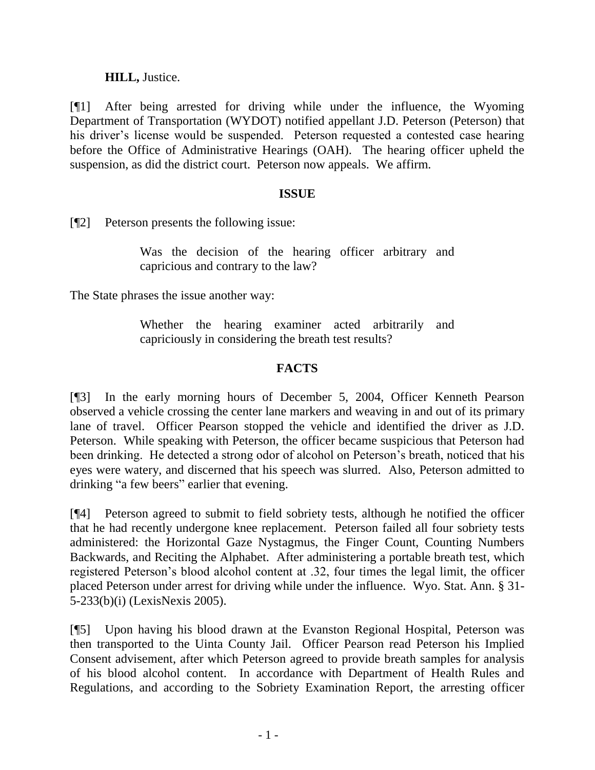# **HILL,** Justice.

[¶1] After being arrested for driving while under the influence, the Wyoming Department of Transportation (WYDOT) notified appellant J.D. Peterson (Peterson) that his driver's license would be suspended. Peterson requested a contested case hearing before the Office of Administrative Hearings (OAH). The hearing officer upheld the suspension, as did the district court. Peterson now appeals. We affirm.

### **ISSUE**

[¶2] Peterson presents the following issue:

Was the decision of the hearing officer arbitrary and capricious and contrary to the law?

The State phrases the issue another way:

Whether the hearing examiner acted arbitrarily and capriciously in considering the breath test results?

# **FACTS**

[¶3] In the early morning hours of December 5, 2004, Officer Kenneth Pearson observed a vehicle crossing the center lane markers and weaving in and out of its primary lane of travel. Officer Pearson stopped the vehicle and identified the driver as J.D. Peterson. While speaking with Peterson, the officer became suspicious that Peterson had been drinking. He detected a strong odor of alcohol on Peterson's breath, noticed that his eyes were watery, and discerned that his speech was slurred. Also, Peterson admitted to drinking "a few beers" earlier that evening.

[¶4] Peterson agreed to submit to field sobriety tests, although he notified the officer that he had recently undergone knee replacement. Peterson failed all four sobriety tests administered: the Horizontal Gaze Nystagmus, the Finger Count, Counting Numbers Backwards, and Reciting the Alphabet. After administering a portable breath test, which registered Peterson's blood alcohol content at .32, four times the legal limit, the officer placed Peterson under arrest for driving while under the influence. Wyo. Stat. Ann. § 31- 5-233(b)(i) (LexisNexis 2005).

[¶5] Upon having his blood drawn at the Evanston Regional Hospital, Peterson was then transported to the Uinta County Jail. Officer Pearson read Peterson his Implied Consent advisement, after which Peterson agreed to provide breath samples for analysis of his blood alcohol content. In accordance with Department of Health Rules and Regulations, and according to the Sobriety Examination Report, the arresting officer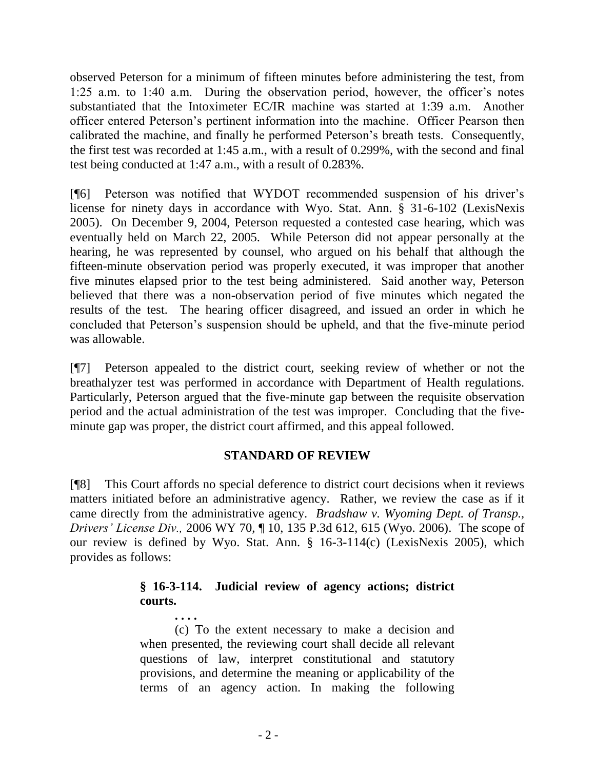observed Peterson for a minimum of fifteen minutes before administering the test, from 1:25 a.m. to 1:40 a.m. During the observation period, however, the officer's notes substantiated that the Intoximeter EC/IR machine was started at 1:39 a.m. Another officer entered Peterson's pertinent information into the machine. Officer Pearson then calibrated the machine, and finally he performed Peterson's breath tests. Consequently, the first test was recorded at 1:45 a.m., with a result of 0.299%, with the second and final test being conducted at 1:47 a.m., with a result of 0.283%.

[¶6] Peterson was notified that WYDOT recommended suspension of his driver's license for ninety days in accordance with Wyo. Stat. Ann. § 31-6-102 (LexisNexis 2005). On December 9, 2004, Peterson requested a contested case hearing, which was eventually held on March 22, 2005. While Peterson did not appear personally at the hearing, he was represented by counsel, who argued on his behalf that although the fifteen-minute observation period was properly executed, it was improper that another five minutes elapsed prior to the test being administered. Said another way, Peterson believed that there was a non-observation period of five minutes which negated the results of the test. The hearing officer disagreed, and issued an order in which he concluded that Peterson's suspension should be upheld, and that the five-minute period was allowable.

[¶7] Peterson appealed to the district court, seeking review of whether or not the breathalyzer test was performed in accordance with Department of Health regulations. Particularly, Peterson argued that the five-minute gap between the requisite observation period and the actual administration of the test was improper. Concluding that the fiveminute gap was proper, the district court affirmed, and this appeal followed.

# **STANDARD OF REVIEW**

[¶8] This Court affords no special deference to district court decisions when it reviews matters initiated before an administrative agency. Rather, we review the case as if it came directly from the administrative agency. *Bradshaw v. Wyoming Dept. of Transp., Drivers' License Div.,* 2006 WY 70, ¶ 10, 135 P.3d 612, 615 (Wyo. 2006). The scope of our review is defined by Wyo. Stat. Ann. § 16-3-114(c) (LexisNexis 2005), which provides as follows:

# **§ 16-3-114. Judicial review of agency actions; district courts.**

(c) To the extent necessary to make a decision and when presented, the reviewing court shall decide all relevant questions of law, interpret constitutional and statutory provisions, and determine the meaning or applicability of the terms of an agency action. In making the following

**. . . .**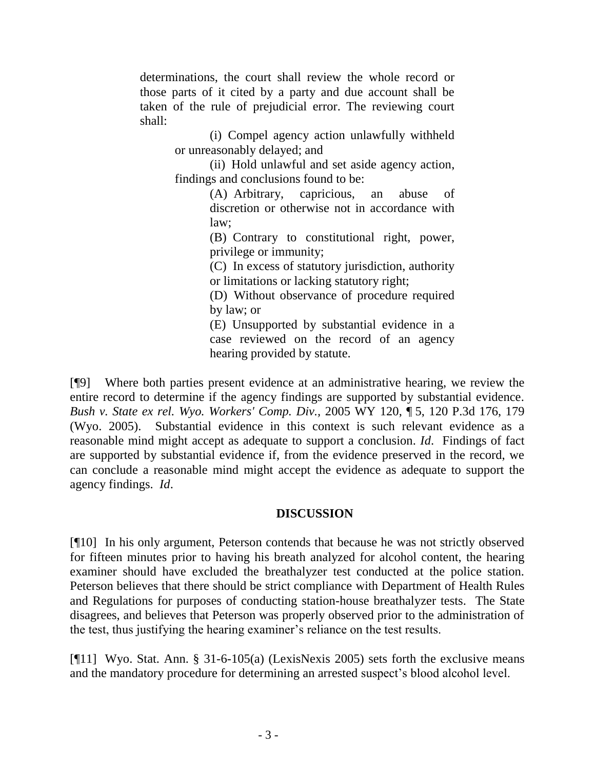determinations, the court shall review the whole record or those parts of it cited by a party and due account shall be taken of the rule of prejudicial error. The reviewing court shall:

> (i) Compel agency action unlawfully withheld or unreasonably delayed; and

> (ii) Hold unlawful and set aside agency action, findings and conclusions found to be:

> > (A) Arbitrary, capricious, an abuse of discretion or otherwise not in accordance with law;

> > (B) Contrary to constitutional right, power, privilege or immunity;

> > (C) In excess of statutory jurisdiction, authority or limitations or lacking statutory right;

> > (D) Without observance of procedure required by law; or

> > (E) Unsupported by substantial evidence in a case reviewed on the record of an agency hearing provided by statute.

[¶9] Where both parties present evidence at an administrative hearing, we review the entire record to determine if the agency findings are supported by substantial evidence. *Bush v. State ex rel. Wyo. Workers' Comp. Div.,* 2005 WY 120, ¶ 5, 120 P.3d 176, 179 (Wyo. 2005). Substantial evidence in this context is such relevant evidence as a reasonable mind might accept as adequate to support a conclusion. *Id*. Findings of fact are supported by substantial evidence if, from the evidence preserved in the record, we can conclude a reasonable mind might accept the evidence as adequate to support the agency findings. *Id*.

# **DISCUSSION**

[¶10] In his only argument, Peterson contends that because he was not strictly observed for fifteen minutes prior to having his breath analyzed for alcohol content, the hearing examiner should have excluded the breathalyzer test conducted at the police station. Peterson believes that there should be strict compliance with Department of Health Rules and Regulations for purposes of conducting station-house breathalyzer tests. The State disagrees, and believes that Peterson was properly observed prior to the administration of the test, thus justifying the hearing examiner's reliance on the test results.

[¶11] Wyo. Stat. Ann. § 31-6-105(a) (LexisNexis 2005) sets forth the exclusive means and the mandatory procedure for determining an arrested suspect's blood alcohol level.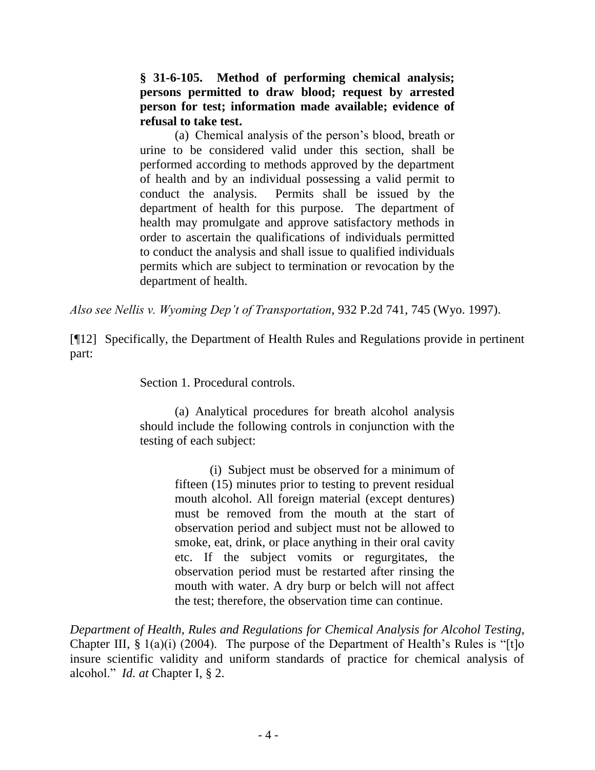**§ 31-6-105. Method of performing chemical analysis; persons permitted to draw blood; request by arrested person for test; information made available; evidence of refusal to take test.**

(a) Chemical analysis of the person's blood, breath or urine to be considered valid under this section, shall be performed according to methods approved by the department of health and by an individual possessing a valid permit to conduct the analysis. Permits shall be issued by the department of health for this purpose. The department of health may promulgate and approve satisfactory methods in order to ascertain the qualifications of individuals permitted to conduct the analysis and shall issue to qualified individuals permits which are subject to termination or revocation by the department of health.

*Also see Nellis v. Wyoming Dep't of Transportation*, 932 P.2d 741, 745 (Wyo. 1997).

[¶12] Specifically, the Department of Health Rules and Regulations provide in pertinent part:

Section 1. Procedural controls.

(a) Analytical procedures for breath alcohol analysis should include the following controls in conjunction with the testing of each subject:

> (i) Subject must be observed for a minimum of fifteen (15) minutes prior to testing to prevent residual mouth alcohol. All foreign material (except dentures) must be removed from the mouth at the start of observation period and subject must not be allowed to smoke, eat, drink, or place anything in their oral cavity etc. If the subject vomits or regurgitates, the observation period must be restarted after rinsing the mouth with water. A dry burp or belch will not affect the test; therefore, the observation time can continue.

*Department of Health, Rules and Regulations for Chemical Analysis for Alcohol Testing,* Chapter III,  $\S 1(a)(i)$  (2004). The purpose of the Department of Health's Rules is "[t]o insure scientific validity and uniform standards of practice for chemical analysis of alcohol." *Id. at* Chapter I, § 2.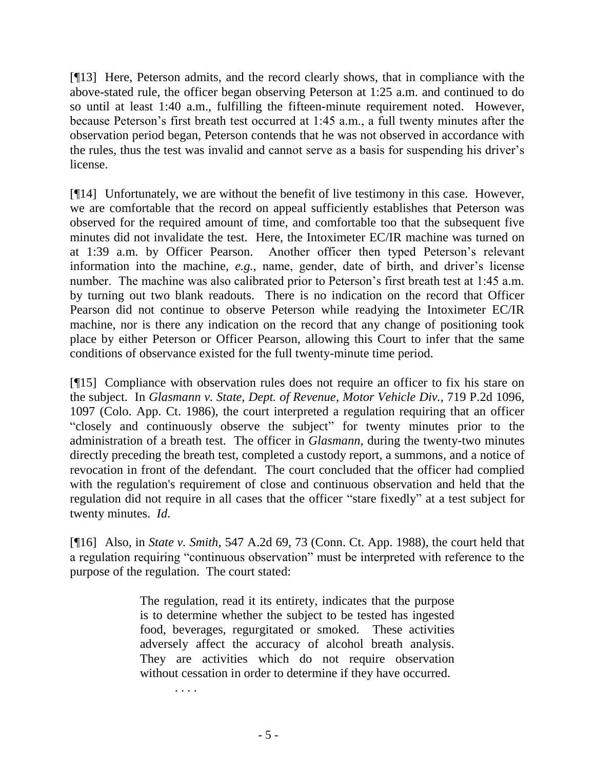[¶13] Here, Peterson admits, and the record clearly shows, that in compliance with the above-stated rule, the officer began observing Peterson at 1:25 a.m. and continued to do so until at least 1:40 a.m., fulfilling the fifteen-minute requirement noted. However, because Peterson's first breath test occurred at 1:45 a.m., a full twenty minutes after the observation period began, Peterson contends that he was not observed in accordance with the rules, thus the test was invalid and cannot serve as a basis for suspending his driver's license.

[¶14] Unfortunately, we are without the benefit of live testimony in this case. However, we are comfortable that the record on appeal sufficiently establishes that Peterson was observed for the required amount of time, and comfortable too that the subsequent five minutes did not invalidate the test. Here, the Intoximeter EC/IR machine was turned on at 1:39 a.m. by Officer Pearson. Another officer then typed Peterson's relevant information into the machine, *e.g.*, name, gender, date of birth, and driver's license number. The machine was also calibrated prior to Peterson's first breath test at 1:45 a.m. by turning out two blank readouts. There is no indication on the record that Officer Pearson did not continue to observe Peterson while readying the Intoximeter EC/IR machine, nor is there any indication on the record that any change of positioning took place by either Peterson or Officer Pearson, allowing this Court to infer that the same conditions of observance existed for the full twenty-minute time period.

[¶15] Compliance with observation rules does not require an officer to fix his stare on the subject. In *Glasmann v. State, Dept. of Revenue, Motor Vehicle Div.*, 719 P.2d 1096, 1097 (Colo. App. Ct. 1986), the court interpreted a regulation requiring that an officer "closely and continuously observe the subject" for twenty minutes prior to the administration of a breath test. The officer in *Glasmann*, during the twenty-two minutes directly preceding the breath test, completed a custody report, a summons, and a notice of revocation in front of the defendant. The court concluded that the officer had complied with the regulation's requirement of close and continuous observation and held that the regulation did not require in all cases that the officer "stare fixedly" at a test subject for twenty minutes. *Id*.

[¶16] Also, in *State v. Smith*, 547 A.2d 69, 73 (Conn. Ct. App. 1988), the court held that a regulation requiring "continuous observation" must be interpreted with reference to the purpose of the regulation. The court stated:

> The regulation, read it its entirety, indicates that the purpose is to determine whether the subject to be tested has ingested food, beverages, regurgitated or smoked. These activities adversely affect the accuracy of alcohol breath analysis. They are activities which do not require observation without cessation in order to determine if they have occurred.

> > . . . .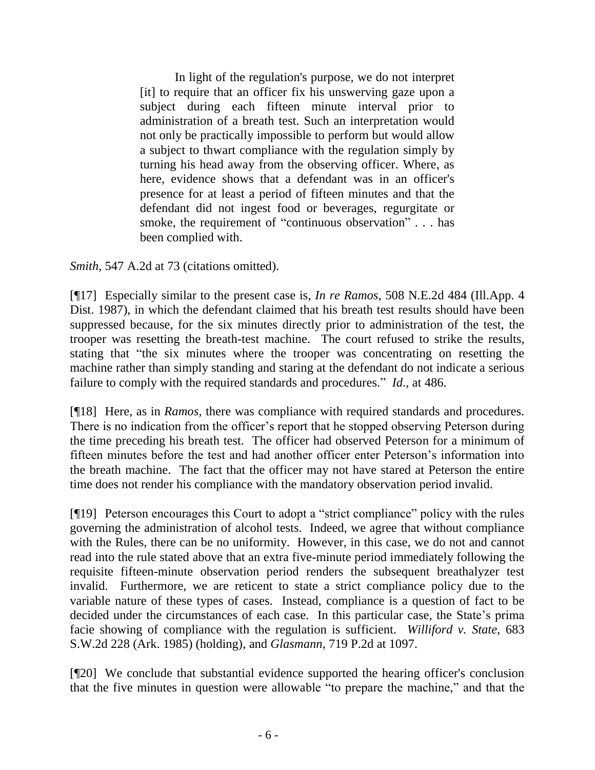In light of the regulation's purpose, we do not interpret [it] to require that an officer fix his unswerving gaze upon a subject during each fifteen minute interval prior to administration of a breath test. Such an interpretation would not only be practically impossible to perform but would allow a subject to thwart compliance with the regulation simply by turning his head away from the observing officer. Where, as here, evidence shows that a defendant was in an officer's presence for at least a period of fifteen minutes and that the defendant did not ingest food or beverages, regurgitate or smoke, the requirement of "continuous observation" . . . has been complied with.

*Smith*, 547 A.2d at 73 (citations omitted).

[¶17] Especially similar to the present case is, *In re Ramos*, 508 N.E.2d 484 (Ill.App. 4 Dist. 1987), in which the defendant claimed that his breath test results should have been suppressed because, for the six minutes directly prior to administration of the test, the trooper was resetting the breath-test machine. The court refused to strike the results, stating that "the six minutes where the trooper was concentrating on resetting the machine rather than simply standing and staring at the defendant do not indicate a serious failure to comply with the required standards and procedures." *Id*., at 486.

[¶18] Here, as in *Ramos,* there was compliance with required standards and procedures. There is no indication from the officer's report that he stopped observing Peterson during the time preceding his breath test. The officer had observed Peterson for a minimum of fifteen minutes before the test and had another officer enter Peterson's information into the breath machine. The fact that the officer may not have stared at Peterson the entire time does not render his compliance with the mandatory observation period invalid.

[¶19] Peterson encourages this Court to adopt a "strict compliance" policy with the rules governing the administration of alcohol tests. Indeed, we agree that without compliance with the Rules, there can be no uniformity. However, in this case, we do not and cannot read into the rule stated above that an extra five-minute period immediately following the requisite fifteen-minute observation period renders the subsequent breathalyzer test invalid. Furthermore, we are reticent to state a strict compliance policy due to the variable nature of these types of cases. Instead, compliance is a question of fact to be decided under the circumstances of each case. In this particular case, the State's prima facie showing of compliance with the regulation is sufficient. *Williford v. State,* 683 S.W.2d 228 (Ark. 1985) (holding), and *Glasmann*, 719 P.2d at 1097.

[¶20] We conclude that substantial evidence supported the hearing officer's conclusion that the five minutes in question were allowable "to prepare the machine," and that the